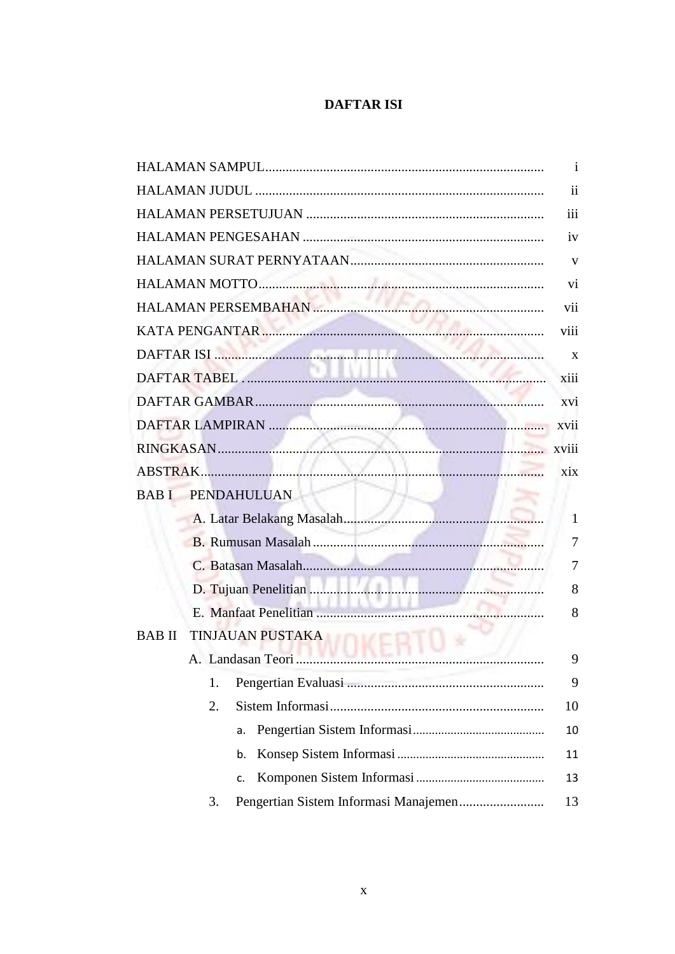## **DAFTAR ISI**

|              |    |                         | $\mathbf{1}$  |
|--------------|----|-------------------------|---------------|
|              |    |                         | $\mathbf{ii}$ |
|              |    |                         | iii           |
|              |    |                         | iv            |
|              |    |                         | V             |
|              |    |                         | vi            |
|              |    |                         | vii           |
|              |    |                         | viii          |
|              |    |                         | X             |
|              |    |                         | xiii          |
|              |    |                         | xvi           |
|              |    |                         |               |
|              |    |                         |               |
|              |    |                         | xix           |
|              |    | BAB I PENDAHULUAN       |               |
|              |    |                         | 1             |
|              |    |                         | 7             |
|              |    |                         | 7             |
|              |    |                         | 8             |
|              |    |                         | 8             |
| <b>BABII</b> |    | <b>TINJAUAN PUSTAKA</b> |               |
|              |    | A. Landasan Teori       | 9             |
|              | 1. |                         | 9             |
|              | 2. |                         | 10            |
|              |    | a.                      | 10            |
|              |    | b.                      | 11            |
|              |    | c.                      | 13            |
|              | 3. |                         | 13            |
|              |    |                         |               |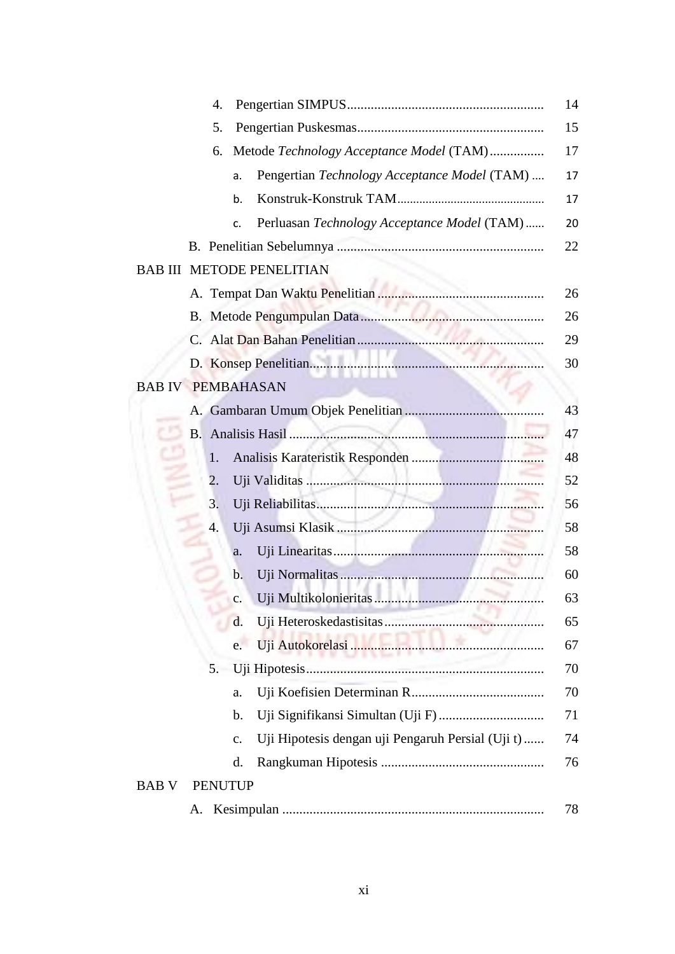| 4.                                                      | 14 |
|---------------------------------------------------------|----|
| 5.                                                      | 15 |
| Metode Technology Acceptance Model (TAM)<br>6.          | 17 |
| Pengertian Technology Acceptance Model (TAM)<br>a.      | 17 |
| b.                                                      | 17 |
| Perluasan Technology Acceptance Model (TAM)<br>c.       | 20 |
|                                                         | 22 |
| <b>BAB III METODE PENELITIAN</b>                        |    |
|                                                         | 26 |
|                                                         | 26 |
|                                                         | 29 |
|                                                         | 30 |
| <b>BAB IV PEMBAHASAN</b>                                |    |
|                                                         | 43 |
| <b>B.</b>                                               | 47 |
| 1.                                                      | 48 |
| 2.                                                      | 52 |
| 3.                                                      | 56 |
| 4.                                                      | 58 |
| a.                                                      | 58 |
| b.                                                      | 60 |
| c.                                                      | 63 |
| d.                                                      | 65 |
| e.                                                      | 67 |
| 5.                                                      | 70 |
| a.                                                      | 70 |
| b.                                                      | 71 |
| Uji Hipotesis dengan uji Pengaruh Persial (Uji t)<br>c. | 74 |
| d.                                                      | 76 |
| <b>PENUTUP</b><br><b>BAB V</b>                          |    |
| A.                                                      | 78 |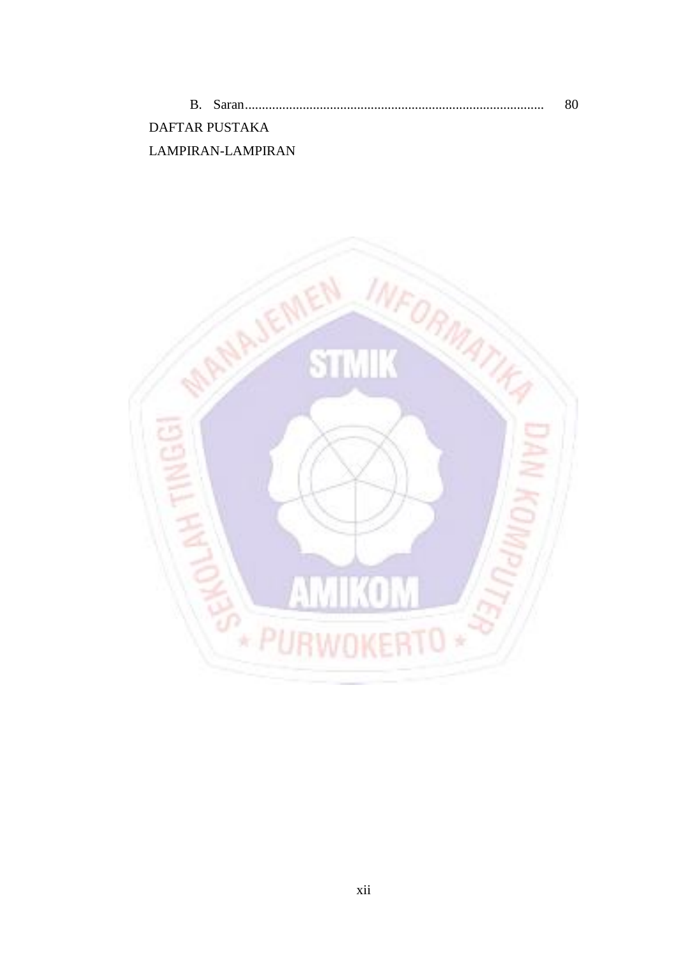|                   | 80 |
|-------------------|----|
| DAFTAR PUSTAKA    |    |
| LAMPIRAN-LAMPIRAN |    |

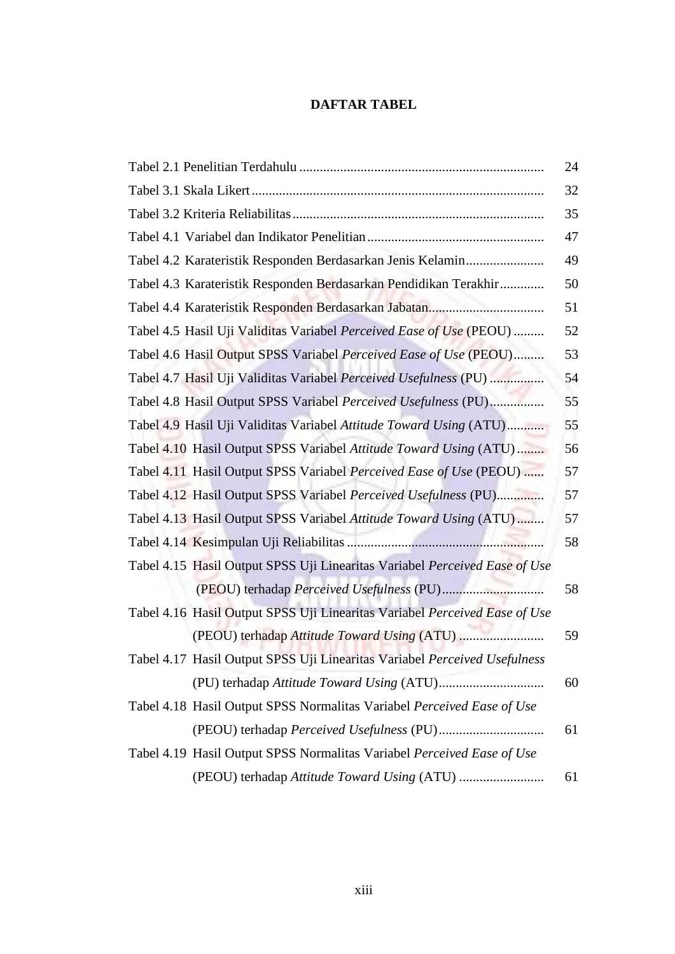## **DAFTAR TABEL**

|                                                                            | 24 |
|----------------------------------------------------------------------------|----|
|                                                                            | 32 |
|                                                                            | 35 |
|                                                                            | 47 |
| Tabel 4.2 Karateristik Responden Berdasarkan Jenis Kelamin                 | 49 |
| Tabel 4.3 Karateristik Responden Berdasarkan Pendidikan Terakhir           | 50 |
|                                                                            | 51 |
| Tabel 4.5 Hasil Uji Validitas Variabel Perceived Ease of Use (PEOU)        | 52 |
| Tabel 4.6 Hasil Output SPSS Variabel Perceived Ease of Use (PEOU)          | 53 |
| Tabel 4.7 Hasil Uji Validitas Variabel Perceived Usefulness (PU)           | 54 |
| Tabel 4.8 Hasil Output SPSS Variabel Perceived Usefulness (PU)             | 55 |
| Tabel 4.9 Hasil Uji Validitas Variabel Attitude Toward Using (ATU)         | 55 |
| Tabel 4.10 Hasil Output SPSS Variabel Attitude Toward Using (ATU)          | 56 |
| Tabel 4.11 Hasil Output SPSS Variabel Perceived Ease of Use (PEOU)         | 57 |
| Tabel 4.12 Hasil Output SPSS Variabel Perceived Usefulness (PU)            | 57 |
| Tabel 4.13 Hasil Output SPSS Variabel Attitude Toward Using (ATU)          | 57 |
|                                                                            | 58 |
| Tabel 4.15 Hasil Output SPSS Uji Linearitas Variabel Perceived Ease of Use |    |
|                                                                            | 58 |
| Tabel 4.16 Hasil Output SPSS Uji Linearitas Variabel Perceived Ease of Use |    |
|                                                                            | 59 |
| Tabel 4.17 Hasil Output SPSS Uji Linearitas Variabel Perceived Usefulness  |    |
|                                                                            | 60 |
| Tabel 4.18 Hasil Output SPSS Normalitas Variabel Perceived Ease of Use     |    |
|                                                                            | 61 |
| Tabel 4.19 Hasil Output SPSS Normalitas Variabel Perceived Ease of Use     |    |
|                                                                            | 61 |
|                                                                            |    |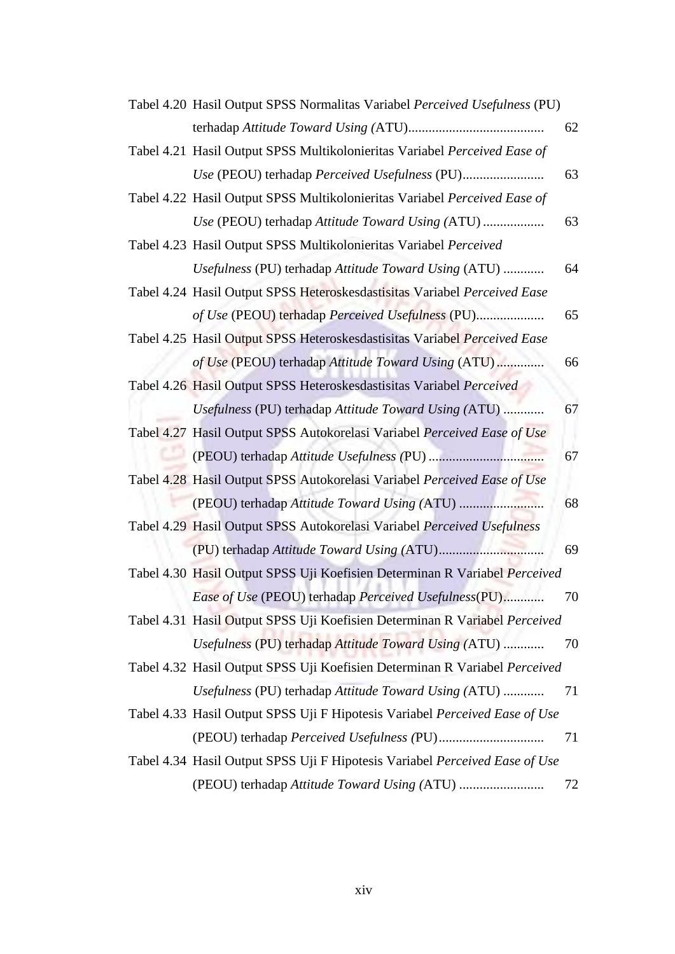| Tabel 4.20 Hasil Output SPSS Normalitas Variabel Perceived Usefulness (PU)  |    |
|-----------------------------------------------------------------------------|----|
|                                                                             | 62 |
| Tabel 4.21 Hasil Output SPSS Multikolonieritas Variabel Perceived Ease of   |    |
|                                                                             | 63 |
| Tabel 4.22 Hasil Output SPSS Multikolonieritas Variabel Perceived Ease of   |    |
| Use (PEOU) terhadap Attitude Toward Using (ATU)                             | 63 |
| Tabel 4.23 Hasil Output SPSS Multikolonieritas Variabel Perceived           |    |
| Usefulness (PU) terhadap Attitude Toward Using (ATU)                        | 64 |
| Tabel 4.24 Hasil Output SPSS Heteroskesdastisitas Variabel Perceived Ease   |    |
| of Use (PEOU) terhadap Perceived Usefulness (PU)                            | 65 |
| Tabel 4.25 Hasil Output SPSS Heteroskesdastisitas Variabel Perceived Ease   |    |
| of Use (PEOU) terhadap Attitude Toward Using (ATU)                          | 66 |
| Tabel 4.26 Hasil Output SPSS Heteroskesdastisitas Variabel Perceived        |    |
| Usefulness (PU) terhadap Attitude Toward Using (ATU)                        | 67 |
| Tabel 4.27 Hasil Output SPSS Autokorelasi Variabel Perceived Ease of Use    |    |
|                                                                             | 67 |
| Tabel 4.28 Hasil Output SPSS Autokorelasi Variabel Perceived Ease of Use    |    |
| (PEOU) terhadap Attitude Toward Using (ATU)                                 | 68 |
| Tabel 4.29 Hasil Output SPSS Autokorelasi Variabel Perceived Usefulness     |    |
|                                                                             | 69 |
| Tabel 4.30 Hasil Output SPSS Uji Koefisien Determinan R Variabel Perceived  |    |
| Ease of Use (PEOU) terhadap Perceived Usefulness(PU)                        | 70 |
| Tabel 4.31 Hasil Output SPSS Uji Koefisien Determinan R Variabel Perceived  |    |
| Usefulness (PU) terhadap Attitude Toward Using (ATU)                        | 70 |
| Tabel 4.32 Hasil Output SPSS Uji Koefisien Determinan R Variabel Perceived  |    |
| Usefulness (PU) terhadap Attitude Toward Using (ATU)                        | 71 |
| Tabel 4.33 Hasil Output SPSS Uji F Hipotesis Variabel Perceived Ease of Use |    |
|                                                                             | 71 |
| Tabel 4.34 Hasil Output SPSS Uji F Hipotesis Variabel Perceived Ease of Use |    |
|                                                                             | 72 |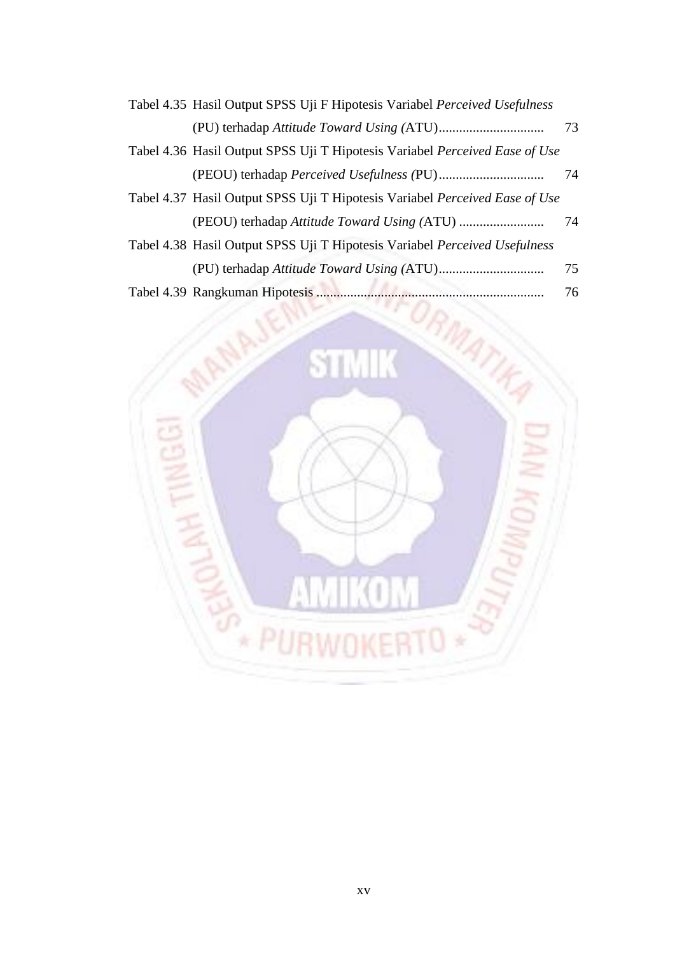| Tabel 4.35 Hasil Output SPSS Uji F Hipotesis Variabel Perceived Usefulness  |    |
|-----------------------------------------------------------------------------|----|
|                                                                             | 73 |
| Tabel 4.36 Hasil Output SPSS Uji T Hipotesis Variabel Perceived Ease of Use |    |
|                                                                             | 74 |
| Tabel 4.37 Hasil Output SPSS Uji T Hipotesis Variabel Perceived Ease of Use |    |
|                                                                             | 74 |
| Tabel 4.38 Hasil Output SPSS Uji T Hipotesis Variabel Perceived Usefulness  |    |
|                                                                             | 75 |
| Tabel 4.30 Departumen Hipotosia                                             | 76 |

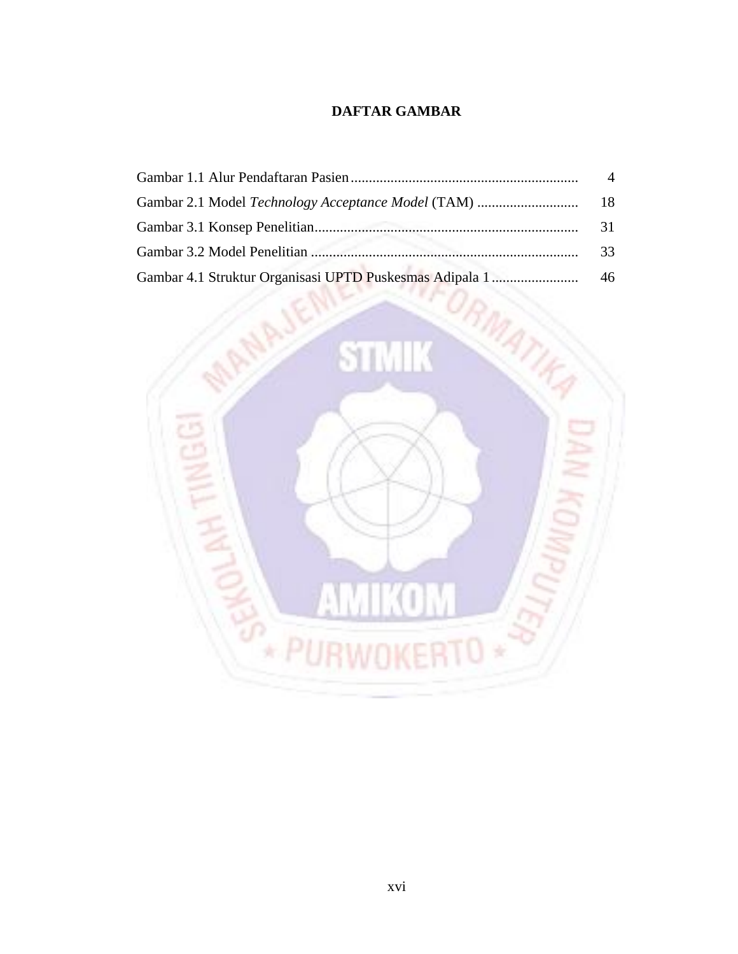## **DAFTAR GAMBAR**

|                                                         | 31 |
|---------------------------------------------------------|----|
|                                                         | 33 |
| Gambar 4.1 Struktur Organisasi UPTD Puskesmas Adipala 1 | 46 |